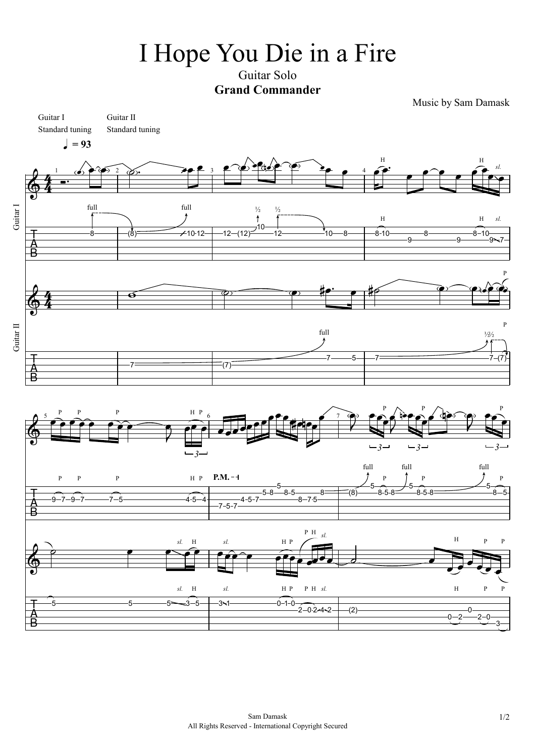## I Hope You Die in a Fire

Guitar Solo **Grand Commander**

Music by Sam Damask